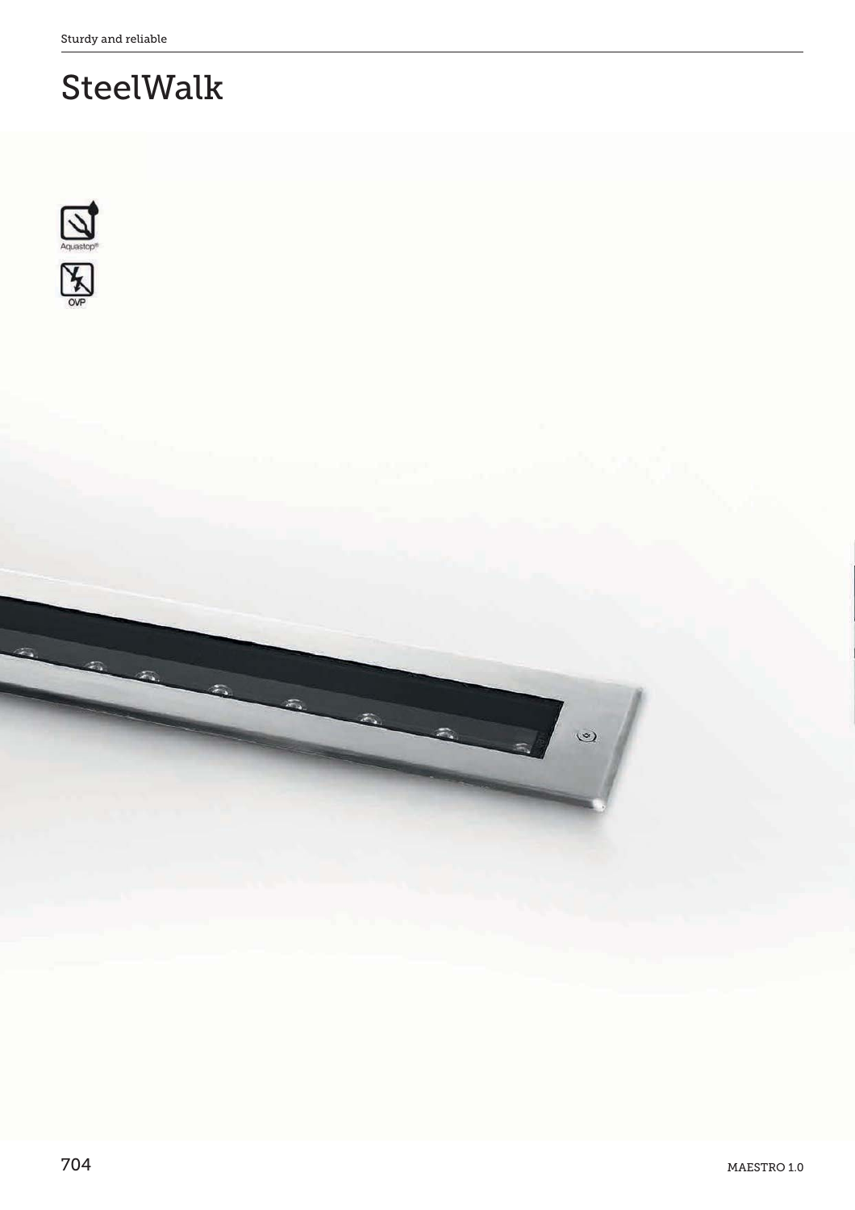# SteelWalk



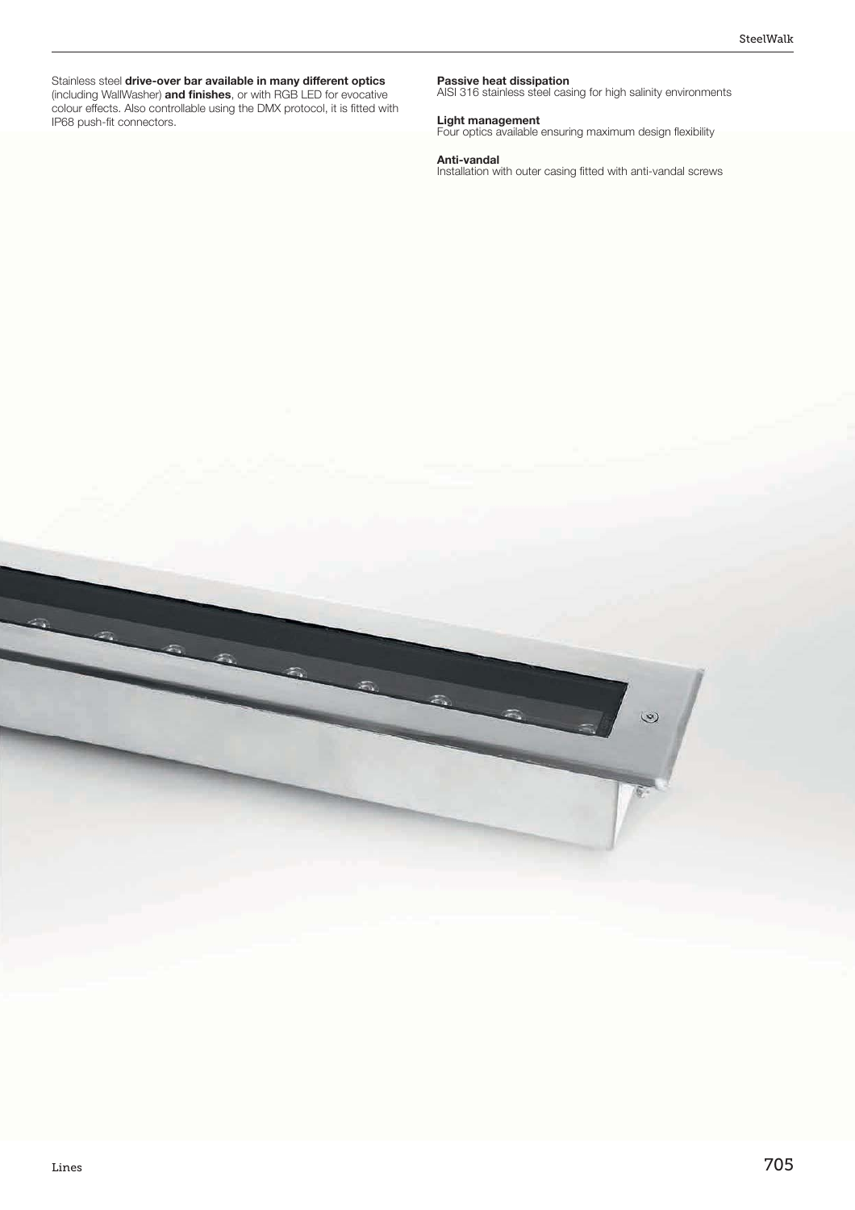Stainless steel drive-over bar available in many different optics (including WallWasher) **and finishes**, or with RGB LED for evocative colour effects. Also controllable using the DMX protocol, it is fitted with IP68 push-fit connectors.

**Passive heat dissipation** AISI 316 stainless steel casing for high salinity environments

**Light management**<br>Four optics available ensuring maximum design flexibility

**Anti-vandal**<br>Installation with outer casing fitted with anti-vandal screws

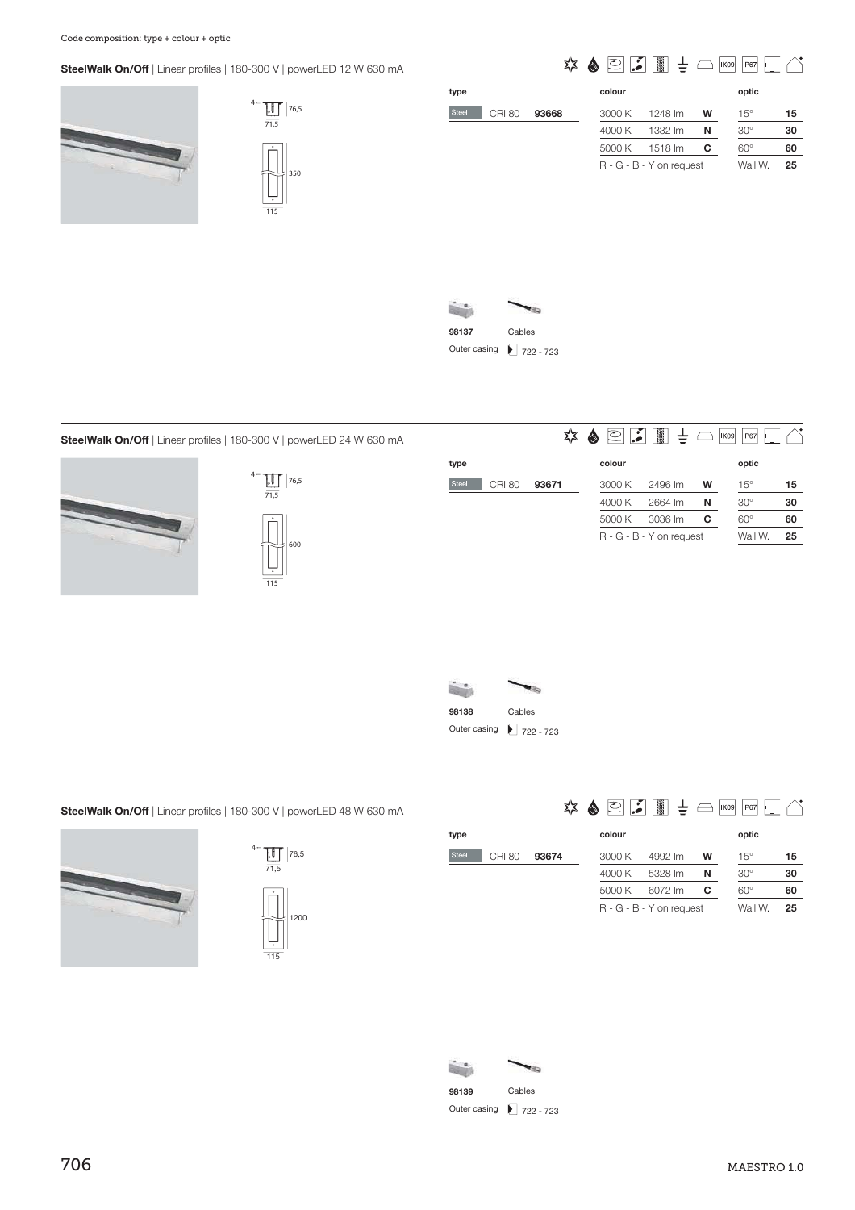**SteelWalk On/Off** | Linear profiles | 180-300 V | powerLED 12 W 630 mA





|                        | 72    | $\circ$ $\cdot$<br> | <b>IN</b>                | $\overline{\frown}$ | <b>IP67</b><br><b>IK09</b> |    |
|------------------------|-------|---------------------|--------------------------|---------------------|----------------------------|----|
| type                   |       | colour              |                          |                     | optic                      |    |
| Steel<br><b>CRI 80</b> | 93668 | 3000 K              | 1248 lm                  | W                   | $15^{\circ}$               | 15 |
|                        |       | 4000 K              | 1332 lm                  | N                   | $30^\circ$                 | 30 |
|                        |       | 5000 K              | 1518 lm                  | С                   | $60^\circ$                 | 60 |
|                        |       |                     | R - G - B - Y on request |                     | Wall W.                    | 25 |
|                        |       |                     |                          |                     |                            |    |



**type**

Steel





| े ≢ ा<br><b>IK09</b><br>IP67 |  | $\odot$ . | ☆ ♪ |  |
|------------------------------|--|-----------|-----|--|
| optic                        |  | colour    |     |  |

|               |       | colour |                          |   | optic        |    |
|---------------|-------|--------|--------------------------|---|--------------|----|
| <b>CRI 80</b> | 93671 | 3000 K | 2496 lm                  | w | $15^\circ$   | 15 |
|               |       | 4000 K | 2664 lm                  | N | $30^{\circ}$ | 30 |
|               |       | 5000 K | 3036 lm                  | C | $60^{\circ}$ | 60 |
|               |       |        | R - G - B - Y on request |   | Wall W.      | 25 |
|               |       |        |                          |   |              |    |



**SteelWalk On/Off** | Linear profiles | 180-300 V | powerLED 48 W 630 mA





|                        | ≵≿    | v<br>ට<br> | 羉                        | $\leftrightarrow$ | P67 <br>K09  |    |
|------------------------|-------|------------|--------------------------|-------------------|--------------|----|
| type                   |       | colour     |                          |                   | optic        |    |
| Steel<br><b>CRI 80</b> | 93674 | 3000 K     | 4992 lm                  | W                 | $15^{\circ}$ | 15 |
|                        |       | 4000 K     | 5328 lm                  | N                 | $30^\circ$   | 30 |
|                        |       | 5000 K     | 6072 lm                  | С                 | $60^\circ$   | 60 |
|                        |       |            | R - G - B - Y on request |                   | Wall W.      | 25 |
|                        |       |            |                          |                   |              |    |

| 98139        | Cables     |
|--------------|------------|
| Outer casing | $22 - 723$ |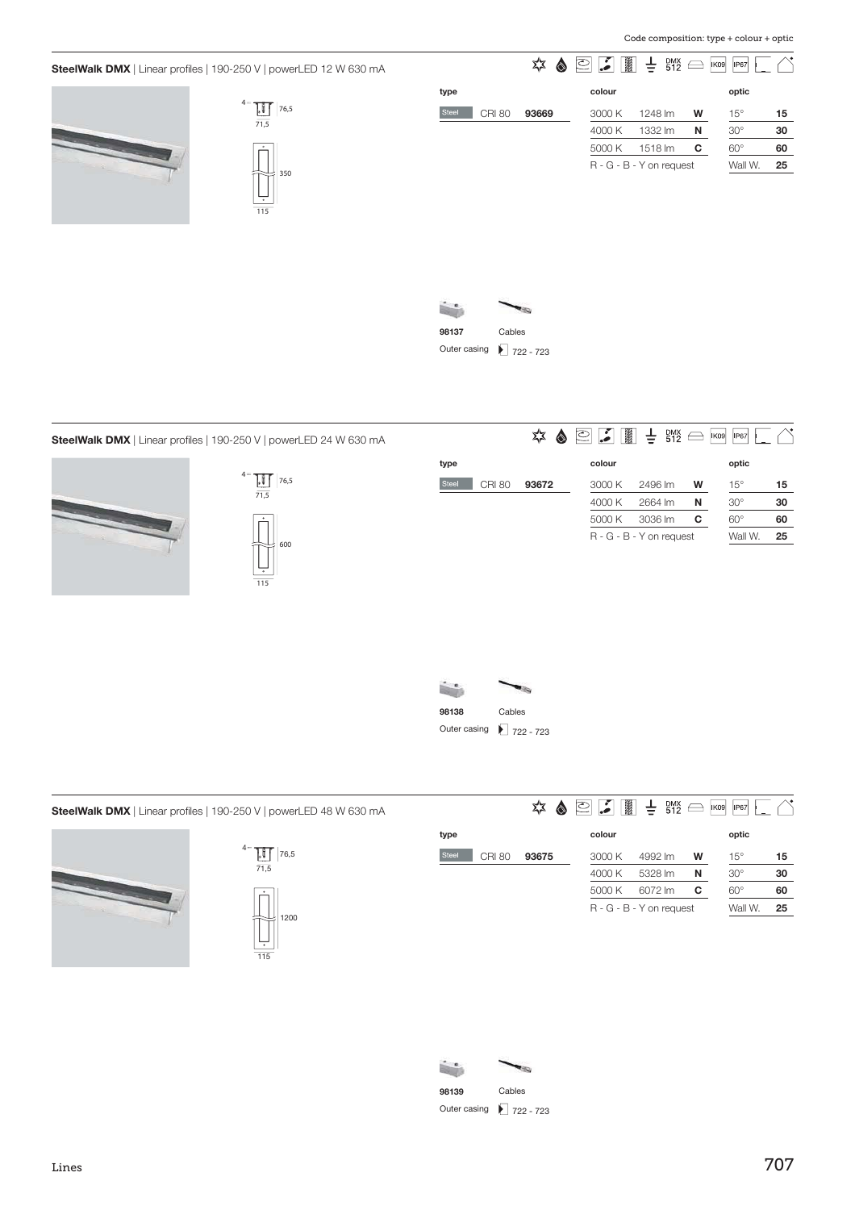## **SteelWalk DMX** | Linear profiles | 190-250 V | powerLED 12 W 630 mA





| ٦A |       |               | ΣΣ<br> | ಲ | ▓                        | $\pm$   | <b>DMX</b><br>512 |   | <b>IP67</b><br><b>IK09</b> |    |
|----|-------|---------------|--------|---|--------------------------|---------|-------------------|---|----------------------------|----|
|    | type  |               |        |   | colour                   |         |                   |   | optic                      |    |
|    | Steel | <b>CRI 80</b> | 93669  |   | 3000 K                   | 1248 lm |                   | W | $15^{\circ}$               | 15 |
|    |       |               |        |   | 4000 K                   | 1332 lm |                   | N | $30^\circ$                 | 30 |
|    |       |               |        |   | 5000 K                   | 1518 lm |                   | c | $60^\circ$                 | 60 |
|    |       |               |        |   | R - G - B - Y on request |         |                   |   | Wall W.                    | 25 |
|    |       |               |        |   |                          |         |                   |   |                            |    |
|    |       |               |        |   |                          |         |                   |   |                            |    |



## **SteelWalk DMX** | Linear profiles | 190-250 V | powerLED 24 W 630 mA





|       |               | ≵≿<br> | en de la provincia de la provincia de la provincia de la provincia de la provincia de la provincia de la provincia de la provincia de la provincia de la provincia de la provincia de la provincia de la provincia de la provi<br>ల | $\pm$ BMX                |   | <b>IK09</b><br><b>IP67</b> |    |
|-------|---------------|--------|-------------------------------------------------------------------------------------------------------------------------------------------------------------------------------------------------------------------------------------|--------------------------|---|----------------------------|----|
| type  |               |        | colour                                                                                                                                                                                                                              |                          |   | optic                      |    |
| Steel | <b>CRI 80</b> | 93672  | 3000 K                                                                                                                                                                                                                              | 2496 lm                  | W | $15^{\circ}$               | 15 |
|       |               |        | 4000 K                                                                                                                                                                                                                              | 2664 lm                  | N | $30^{\circ}$               | 30 |
|       |               |        | 5000 K                                                                                                                                                                                                                              | 3036 lm                  | С | $60^\circ$                 | 60 |
|       |               |        |                                                                                                                                                                                                                                     | R - G - B - Y on request |   | Wall W.                    | 25 |



**SteelWalk DMX** | Linear profiles | 190-250 V | powerLED 48 W 630 mA





### $\frac{1}{2}$  $\triangle^{\bullet}$

| type                          |       | colour |                          |   | optic        |    |
|-------------------------------|-------|--------|--------------------------|---|--------------|----|
| <b>Steel</b><br><b>CRI 80</b> | 93675 | 3000 K | 4992 lm                  | w | $15^{\circ}$ | 15 |
|                               |       | 4000 K | 5328 lm                  | N | $30^{\circ}$ | 30 |
|                               |       | 5000 K | 6072 lm                  | C | $60^\circ$   | 60 |
|                               |       |        | R - G - B - Y on request |   | Wall W.      | 25 |